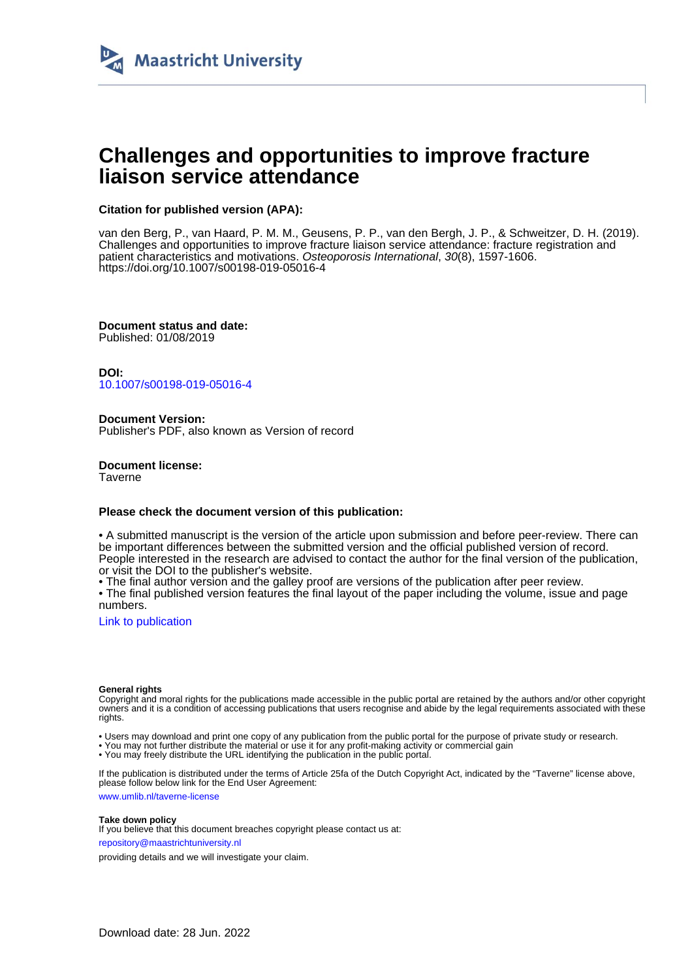

# **Challenges and opportunities to improve fracture liaison service attendance**

## **Citation for published version (APA):**

van den Berg, P., van Haard, P. M. M., Geusens, P. P., van den Bergh, J. P., & Schweitzer, D. H. (2019). Challenges and opportunities to improve fracture liaison service attendance: fracture registration and patient characteristics and motivations. Osteoporosis International, 30(8), 1597-1606. <https://doi.org/10.1007/s00198-019-05016-4>

**Document status and date:** Published: 01/08/2019

**DOI:** [10.1007/s00198-019-05016-4](https://doi.org/10.1007/s00198-019-05016-4)

**Document Version:** Publisher's PDF, also known as Version of record

**Document license: Taverne** 

### **Please check the document version of this publication:**

• A submitted manuscript is the version of the article upon submission and before peer-review. There can be important differences between the submitted version and the official published version of record. People interested in the research are advised to contact the author for the final version of the publication, or visit the DOI to the publisher's website.

• The final author version and the galley proof are versions of the publication after peer review.

• The final published version features the final layout of the paper including the volume, issue and page numbers.

[Link to publication](https://cris.maastrichtuniversity.nl/en/publications/dc68eb64-0595-4324-bc0a-60cf8695a184)

#### **General rights**

Copyright and moral rights for the publications made accessible in the public portal are retained by the authors and/or other copyright owners and it is a condition of accessing publications that users recognise and abide by the legal requirements associated with these rights.

• Users may download and print one copy of any publication from the public portal for the purpose of private study or research.

• You may not further distribute the material or use it for any profit-making activity or commercial gain

• You may freely distribute the URL identifying the publication in the public portal.

If the publication is distributed under the terms of Article 25fa of the Dutch Copyright Act, indicated by the "Taverne" license above, please follow below link for the End User Agreement:

www.umlib.nl/taverne-license

#### **Take down policy**

If you believe that this document breaches copyright please contact us at: repository@maastrichtuniversity.nl

providing details and we will investigate your claim.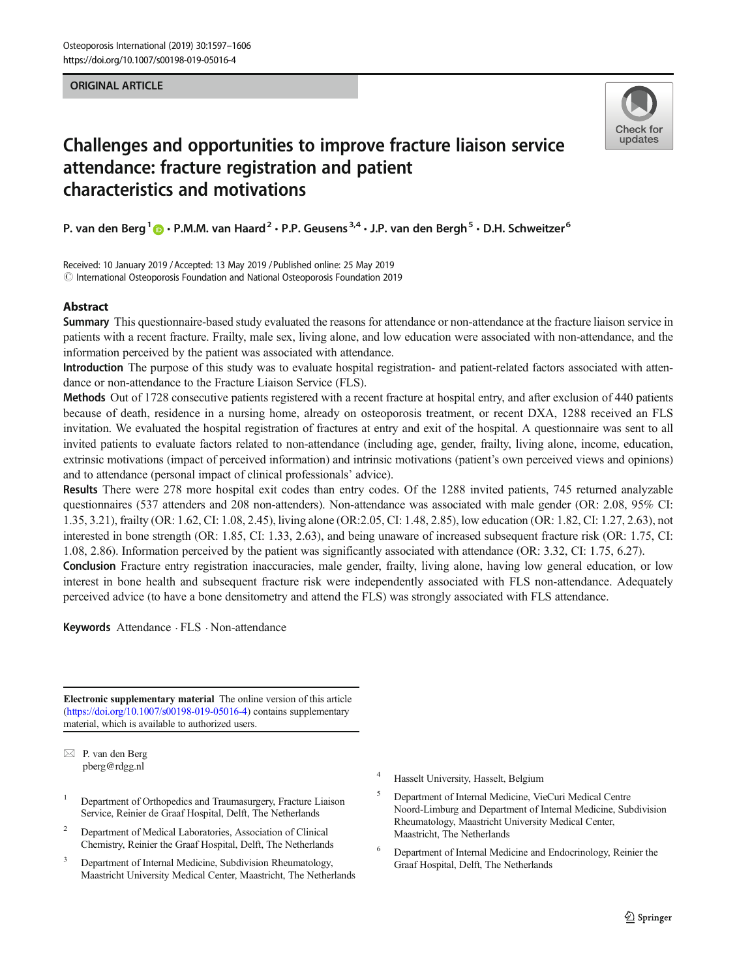### ORIGINAL ARTICLE



# Challenges and opportunities to improve fracture liaison service attendance: fracture registration and patient characteristics and motivations

P. van den Berg<sup>1</sup>  $\bigcirc \cdot$  P.M.M. van Haard<sup>2</sup> · P.P. Geusens<sup>3,4</sup> · J.P. van den Bergh<sup>5</sup> · D.H. Schweitzer<sup>6</sup>

Received: 10 January 2019 /Accepted: 13 May 2019 /Published online: 25 May 2019  $\copyright$  International Osteoporosis Foundation and National Osteoporosis Foundation 2019

## Abstract

Summary This questionnaire-based study evaluated the reasons for attendance or non-attendance at the fracture liaison service in patients with a recent fracture. Frailty, male sex, living alone, and low education were associated with non-attendance, and the information perceived by the patient was associated with attendance.

Introduction The purpose of this study was to evaluate hospital registration- and patient-related factors associated with attendance or non-attendance to the Fracture Liaison Service (FLS).

Methods Out of 1728 consecutive patients registered with a recent fracture at hospital entry, and after exclusion of 440 patients because of death, residence in a nursing home, already on osteoporosis treatment, or recent DXA, 1288 received an FLS invitation. We evaluated the hospital registration of fractures at entry and exit of the hospital. A questionnaire was sent to all invited patients to evaluate factors related to non-attendance (including age, gender, frailty, living alone, income, education, extrinsic motivations (impact of perceived information) and intrinsic motivations (patient's own perceived views and opinions) and to attendance (personal impact of clinical professionals' advice).

Results There were 278 more hospital exit codes than entry codes. Of the 1288 invited patients, 745 returned analyzable questionnaires (537 attenders and 208 non-attenders). Non-attendance was associated with male gender (OR: 2.08, 95% CI: 1.35, 3.21), frailty (OR: 1.62, CI: 1.08, 2.45), living alone (OR:2.05, CI: 1.48, 2.85), low education (OR: 1.82, CI: 1.27, 2.63), not interested in bone strength (OR: 1.85, CI: 1.33, 2.63), and being unaware of increased subsequent fracture risk (OR: 1.75, CI: 1.08, 2.86). Information perceived by the patient was significantly associated with attendance (OR: 3.32, CI: 1.75, 6.27).

Conclusion Fracture entry registration inaccuracies, male gender, frailty, living alone, having low general education, or low interest in bone health and subsequent fracture risk were independently associated with FLS non-attendance. Adequately perceived advice (to have a bone densitometry and attend the FLS) was strongly associated with FLS attendance.

Keywords Attendance . FLS . Non-attendance

Electronic supplementary material The online version of this article [\(https://doi.org/10.1007/s00198-019-05016-4\)](https://doi.org/10.1007/s00198-019-05016-4) contains supplementary material, which is available to authorized users.

 $\boxtimes$  P. van den Berg [pberg@rdgg.nl](mailto:pberg@rdgg.nl)

- <sup>1</sup> Department of Orthopedics and Traumasurgery, Fracture Liaison Service, Reinier de Graaf Hospital, Delft, The Netherlands
- <sup>2</sup> Department of Medical Laboratories, Association of Clinical Chemistry, Reinier the Graaf Hospital, Delft, The Netherlands
- Department of Internal Medicine, Subdivision Rheumatology, Maastricht University Medical Center, Maastricht, The Netherlands
- <sup>4</sup> Hasselt University, Hasselt, Belgium
- <sup>5</sup> Department of Internal Medicine, VieCuri Medical Centre Noord-Limburg and Department of Internal Medicine, Subdivision Rheumatology, Maastricht University Medical Center, Maastricht, The Netherlands
- <sup>6</sup> Department of Internal Medicine and Endocrinology, Reinier the Graaf Hospital, Delft, The Netherlands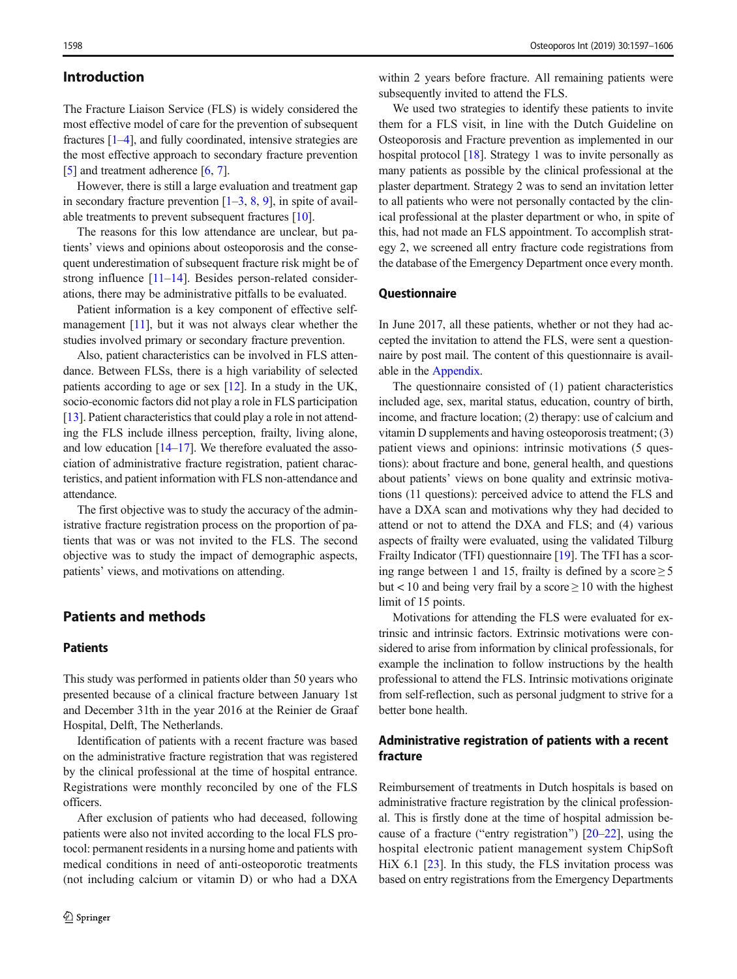## Introduction

The Fracture Liaison Service (FLS) is widely considered the most effective model of care for the prevention of subsequent fractures [\[1](#page-9-0)–[4\]](#page-9-0), and fully coordinated, intensive strategies are the most effective approach to secondary fracture prevention [\[5](#page-9-0)] and treatment adherence [\[6](#page-9-0), [7](#page-9-0)].

However, there is still a large evaluation and treatment gap in secondary fracture prevention  $[1–3, 8, 9]$  $[1–3, 8, 9]$  $[1–3, 8, 9]$  $[1–3, 8, 9]$  $[1–3, 8, 9]$  $[1–3, 8, 9]$  $[1–3, 8, 9]$  $[1–3, 8, 9]$  $[1–3, 8, 9]$ , in spite of available treatments to prevent subsequent fractures [\[10\]](#page-9-0).

The reasons for this low attendance are unclear, but patients' views and opinions about osteoporosis and the consequent underestimation of subsequent fracture risk might be of strong influence [\[11](#page-9-0)–[14](#page-9-0)]. Besides person-related considerations, there may be administrative pitfalls to be evaluated.

Patient information is a key component of effective self-management [\[11\]](#page-9-0), but it was not always clear whether the studies involved primary or secondary fracture prevention.

Also, patient characteristics can be involved in FLS attendance. Between FLSs, there is a high variability of selected patients according to age or sex [\[12](#page-9-0)]. In a study in the UK, socio-economic factors did not play a role in FLS participation [\[13\]](#page-9-0). Patient characteristics that could play a role in not attending the FLS include illness perception, frailty, living alone, and low education  $[14-17]$  $[14-17]$  $[14-17]$  $[14-17]$ . We therefore evaluated the association of administrative fracture registration, patient characteristics, and patient information with FLS non-attendance and attendance.

The first objective was to study the accuracy of the administrative fracture registration process on the proportion of patients that was or was not invited to the FLS. The second objective was to study the impact of demographic aspects, patients' views, and motivations on attending.

## Patients and methods

## **Patients**

This study was performed in patients older than 50 years who presented because of a clinical fracture between January 1st and December 31th in the year 2016 at the Reinier de Graaf Hospital, Delft, The Netherlands.

Identification of patients with a recent fracture was based on the administrative fracture registration that was registered by the clinical professional at the time of hospital entrance. Registrations were monthly reconciled by one of the FLS officers.

After exclusion of patients who had deceased, following patients were also not invited according to the local FLS protocol: permanent residents in a nursing home and patients with medical conditions in need of anti-osteoporotic treatments (not including calcium or vitamin D) or who had a DXA

within 2 years before fracture. All remaining patients were subsequently invited to attend the FLS.

We used two strategies to identify these patients to invite them for a FLS visit, in line with the Dutch Guideline on Osteoporosis and Fracture prevention as implemented in our hospital protocol [\[18\]](#page-9-0). Strategy 1 was to invite personally as many patients as possible by the clinical professional at the plaster department. Strategy 2 was to send an invitation letter to all patients who were not personally contacted by the clinical professional at the plaster department or who, in spite of this, had not made an FLS appointment. To accomplish strategy 2, we screened all entry fracture code registrations from the database of the Emergency Department once every month.

#### **Ouestionnaire**

In June 2017, all these patients, whether or not they had accepted the invitation to attend the FLS, were sent a questionnaire by post mail. The content of this questionnaire is available in the Appendix.

The questionnaire consisted of (1) patient characteristics included age, sex, marital status, education, country of birth, income, and fracture location; (2) therapy: use of calcium and vitamin D supplements and having osteoporosis treatment; (3) patient views and opinions: intrinsic motivations (5 questions): about fracture and bone, general health, and questions about patients' views on bone quality and extrinsic motivations (11 questions): perceived advice to attend the FLS and have a DXA scan and motivations why they had decided to attend or not to attend the DXA and FLS; and (4) various aspects of frailty were evaluated, using the validated Tilburg Frailty Indicator (TFI) questionnaire [\[19](#page-9-0)]. The TFI has a scoring range between 1 and 15, frailty is defined by a score  $\geq 5$ but < 10 and being very frail by a score  $\geq 10$  with the highest limit of 15 points.

Motivations for attending the FLS were evaluated for extrinsic and intrinsic factors. Extrinsic motivations were considered to arise from information by clinical professionals, for example the inclination to follow instructions by the health professional to attend the FLS. Intrinsic motivations originate from self-reflection, such as personal judgment to strive for a better bone health.

## Administrative registration of patients with a recent fracture

Reimbursement of treatments in Dutch hospitals is based on administrative fracture registration by the clinical professional. This is firstly done at the time of hospital admission because of a fracture ("entry registration")  $[20-22]$  $[20-22]$  $[20-22]$  $[20-22]$ , using the hospital electronic patient management system ChipSoft HiX 6.1 [[23](#page-9-0)]. In this study, the FLS invitation process was based on entry registrations from the Emergency Departments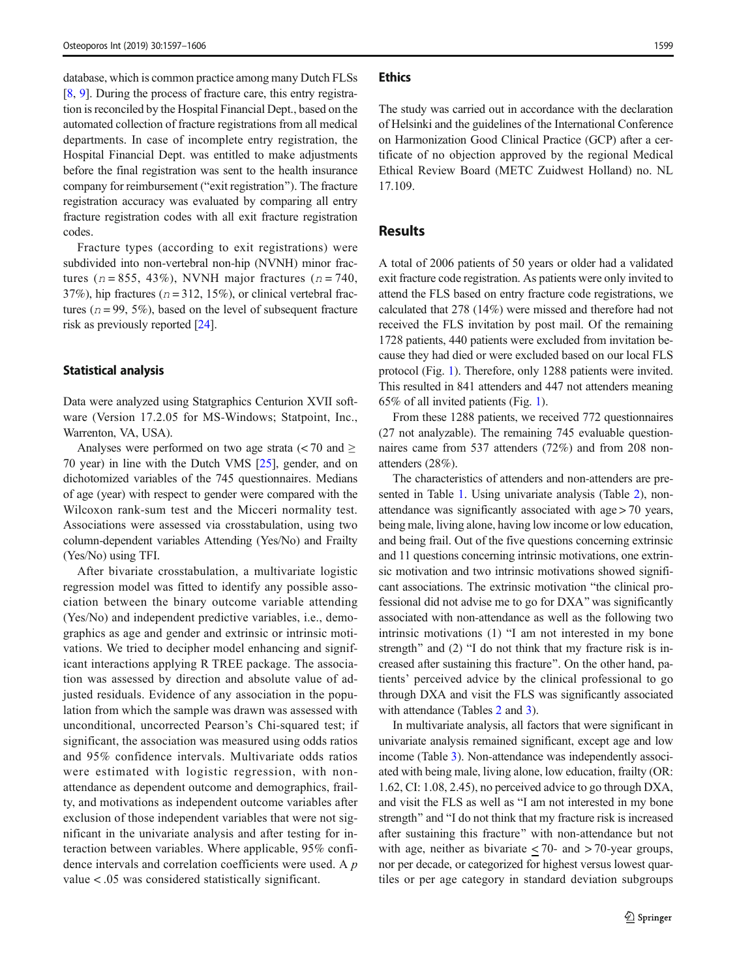database, which is common practice among many Dutch FLSs [\[8](#page-9-0), [9](#page-9-0)]. During the process of fracture care, this entry registration is reconciled by the Hospital Financial Dept., based on the automated collection of fracture registrations from all medical departments. In case of incomplete entry registration, the Hospital Financial Dept. was entitled to make adjustments before the final registration was sent to the health insurance company for reimbursement ("exit registration"). The fracture registration accuracy was evaluated by comparing all entry fracture registration codes with all exit fracture registration codes.

Fracture types (according to exit registrations) were subdivided into non-vertebral non-hip (NVNH) minor fractures ( $n = 855$ , 43%), NVNH major fractures ( $n = 740$ , 37%), hip fractures ( $n = 312, 15\%$ ), or clinical vertebral fractures ( $n = 99, 5\%$ ), based on the level of subsequent fracture risk as previously reported [\[24\]](#page-9-0).

#### Statistical analysis

Data were analyzed using Statgraphics Centurion XVII software (Version 17.2.05 for MS-Windows; Statpoint, Inc., Warrenton, VA, USA).

Analyses were performed on two age strata  $\langle$  < 70 and  $\geq$ 70 year) in line with the Dutch VMS [[25\]](#page-9-0), gender, and on dichotomized variables of the 745 questionnaires. Medians of age (year) with respect to gender were compared with the Wilcoxon rank-sum test and the Micceri normality test. Associations were assessed via crosstabulation, using two column-dependent variables Attending (Yes/No) and Frailty (Yes/No) using TFI.

After bivariate crosstabulation, a multivariate logistic regression model was fitted to identify any possible association between the binary outcome variable attending (Yes/No) and independent predictive variables, i.e., demographics as age and gender and extrinsic or intrinsic motivations. We tried to decipher model enhancing and significant interactions applying R TREE package. The association was assessed by direction and absolute value of adjusted residuals. Evidence of any association in the population from which the sample was drawn was assessed with unconditional, uncorrected Pearson's Chi-squared test; if significant, the association was measured using odds ratios and 95% confidence intervals. Multivariate odds ratios were estimated with logistic regression, with nonattendance as dependent outcome and demographics, frailty, and motivations as independent outcome variables after exclusion of those independent variables that were not significant in the univariate analysis and after testing for interaction between variables. Where applicable, 95% confidence intervals and correlation coefficients were used. A p value < .05 was considered statistically significant.

#### **Ethics**

The study was carried out in accordance with the declaration of Helsinki and the guidelines of the International Conference on Harmonization Good Clinical Practice (GCP) after a certificate of no objection approved by the regional Medical Ethical Review Board (METC Zuidwest Holland) no. NL 17.109.

## Results

A total of 2006 patients of 50 years or older had a validated exit fracture code registration. As patients were only invited to attend the FLS based on entry fracture code registrations, we calculated that 278 (14%) were missed and therefore had not received the FLS invitation by post mail. Of the remaining 1728 patients, 440 patients were excluded from invitation because they had died or were excluded based on our local FLS protocol (Fig. [1](#page-4-0)). Therefore, only 1288 patients were invited. This resulted in 841 attenders and 447 not attenders meaning 65% of all invited patients (Fig. [1\)](#page-4-0).

From these 1288 patients, we received 772 questionnaires (27 not analyzable). The remaining 745 evaluable questionnaires came from 537 attenders (72%) and from 208 nonattenders (28%).

The characteristics of attenders and non-attenders are presented in Table [1](#page-5-0). Using univariate analysis (Table [2](#page-7-0)), nonattendance was significantly associated with age > 70 years, being male, living alone, having low income or low education, and being frail. Out of the five questions concerning extrinsic and 11 questions concerning intrinsic motivations, one extrinsic motivation and two intrinsic motivations showed significant associations. The extrinsic motivation "the clinical professional did not advise me to go for DXA^ was significantly associated with non-attendance as well as the following two intrinsic motivations  $(1)$  "I am not interested in my bone strength" and  $(2)$  "I do not think that my fracture risk is increased after sustaining this fracture^. On the other hand, patients' perceived advice by the clinical professional to go through DXA and visit the FLS was significantly associated with attendance (Tables [2](#page-7-0) and [3](#page-7-0)).

In multivariate analysis, all factors that were significant in univariate analysis remained significant, except age and low income (Table [3\)](#page-7-0). Non-attendance was independently associated with being male, living alone, low education, frailty (OR: 1.62, CI: 1.08, 2.45), no perceived advice to go through DXA, and visit the FLS as well as "I am not interested in my bone strength" and "I do not think that my fracture risk is increased after sustaining this fracture" with non-attendance but not with age, neither as bivariate  $\leq$  70- and  $>$  70-year groups, nor per decade, or categorized for highest versus lowest quartiles or per age category in standard deviation subgroups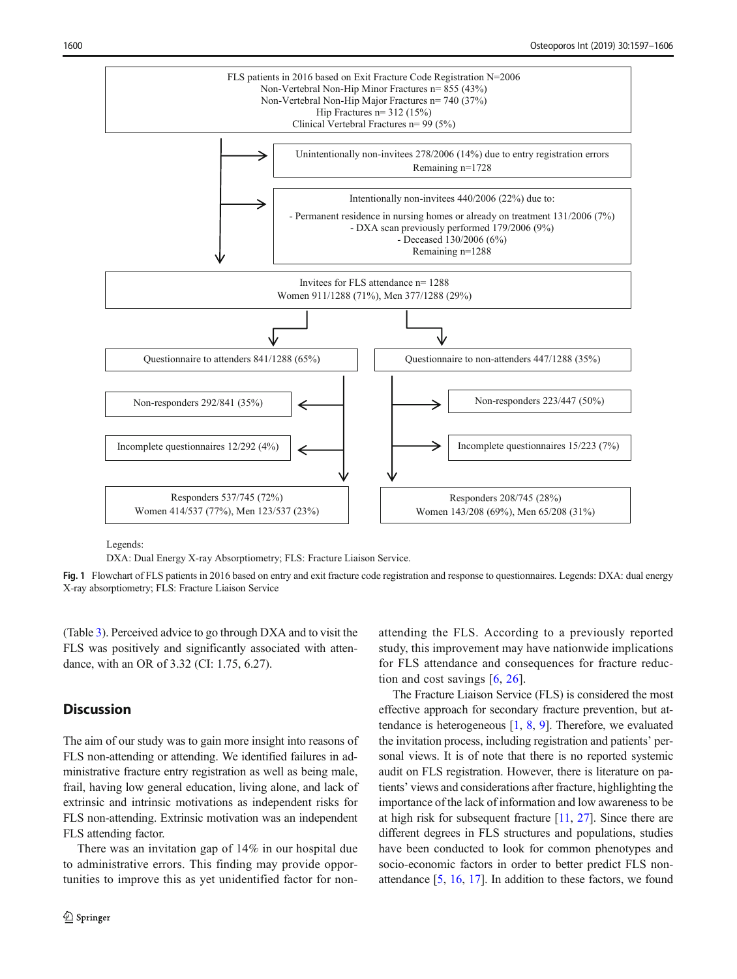<span id="page-4-0"></span>

Legends:

DXA: Dual Energy X-ray Absorptiometry; FLS: Fracture Liaison Service.

Fig. 1 Flowchart of FLS patients in 2016 based on entry and exit fracture code registration and response to questionnaires. Legends: DXA: dual energy X-ray absorptiometry; FLS: Fracture Liaison Service

(Table [3](#page-7-0)). Perceived advice to go through DXA and to visit the FLS was positively and significantly associated with attendance, with an OR of 3.32 (CI: 1.75, 6.27).

## **Discussion**

The aim of our study was to gain more insight into reasons of FLS non-attending or attending. We identified failures in administrative fracture entry registration as well as being male, frail, having low general education, living alone, and lack of extrinsic and intrinsic motivations as independent risks for FLS non-attending. Extrinsic motivation was an independent FLS attending factor.

There was an invitation gap of 14% in our hospital due to administrative errors. This finding may provide opportunities to improve this as yet unidentified factor for nonattending the FLS. According to a previously reported study, this improvement may have nationwide implications for FLS attendance and consequences for fracture reduction and cost savings [[6,](#page-9-0) [26](#page-9-0)].

The Fracture Liaison Service (FLS) is considered the most effective approach for secondary fracture prevention, but attendance is heterogeneous  $[1, 8, 9]$  $[1, 8, 9]$  $[1, 8, 9]$  $[1, 8, 9]$  $[1, 8, 9]$ . Therefore, we evaluated the invitation process, including registration and patients' personal views. It is of note that there is no reported systemic audit on FLS registration. However, there is literature on patients' views and considerations after fracture, highlighting the importance of the lack of information and low awareness to be at high risk for subsequent fracture [[11,](#page-9-0) [27](#page-9-0)]. Since there are different degrees in FLS structures and populations, studies have been conducted to look for common phenotypes and socio-economic factors in order to better predict FLS nonattendance [\[5](#page-9-0), [16](#page-9-0), [17\]](#page-9-0). In addition to these factors, we found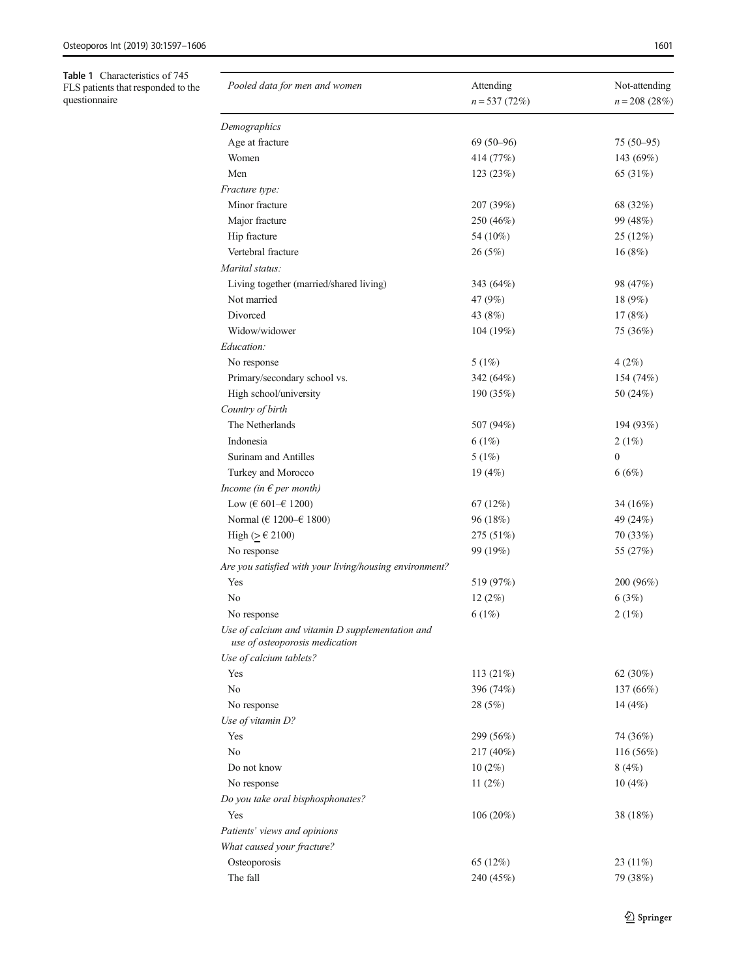<span id="page-5-0"></span>Table 1 Characteristics of 745 FLS patients that responded to the questionnaire

| Pooled data for men and women                                                      | Attending<br>$n = 537(72%)$ | Not-attending<br>$n = 208 (28%)$ |  |  |
|------------------------------------------------------------------------------------|-----------------------------|----------------------------------|--|--|
| Demographics                                                                       |                             |                                  |  |  |
| Age at fracture                                                                    | $69(50-96)$                 | $75(50-95)$                      |  |  |
| Women                                                                              | 414 (77%)                   | 143 (69%)                        |  |  |
| Men                                                                                | 123 (23%)                   | 65 (31%)                         |  |  |
| Fracture type:                                                                     |                             |                                  |  |  |
| Minor fracture                                                                     | 207 (39%)                   | 68 (32%)                         |  |  |
| Major fracture                                                                     | 250 (46%)                   | 99 (48%)                         |  |  |
| Hip fracture                                                                       | 54 (10%)                    | 25 (12%)                         |  |  |
| Vertebral fracture                                                                 | 26(5%)                      | 16(8%)                           |  |  |
| Marital status:                                                                    |                             |                                  |  |  |
| Living together (married/shared living)                                            | 343 (64%)                   | 98 (47%)                         |  |  |
| Not married                                                                        | 47 (9%)                     | 18 (9%)                          |  |  |
| Divorced                                                                           | 43 (8%)                     | 17(8%)                           |  |  |
| Widow/widower                                                                      | 104 (19%)                   | 75 (36%)                         |  |  |
| Education:                                                                         |                             |                                  |  |  |
| No response                                                                        | 5(1%)                       | 4(2%)                            |  |  |
| Primary/secondary school vs.                                                       | 342 (64%)                   | 154 (74%)                        |  |  |
| High school/university                                                             | 190 (35%)                   | 50 (24%)                         |  |  |
| Country of birth                                                                   |                             |                                  |  |  |
| The Netherlands                                                                    | 507 (94%)                   | 194 (93%)                        |  |  |
| Indonesia                                                                          | 6(1%)                       | 2(1%)                            |  |  |
| Surinam and Antilles                                                               | 5(1%)                       | $\boldsymbol{0}$                 |  |  |
| Turkey and Morocco                                                                 | 19(4%)                      | 6(6%)                            |  |  |
| Income (in $\epsilon$ per month)                                                   |                             |                                  |  |  |
| Low (€ 601–€ 1200)                                                                 | 67(12%)                     | 34 (16%)                         |  |  |
| Normal (€ 1200–€ 1800)                                                             | 96 (18%)                    | 49 (24%)                         |  |  |
| High ( $≥ €2100$ )                                                                 | 275 (51%)                   | 70(33%)                          |  |  |
| No response                                                                        | 99 (19%)                    | 55 (27%)                         |  |  |
| Are you satisfied with your living/housing environment?                            |                             |                                  |  |  |
| Yes                                                                                | 519 (97%)                   | 200 (96%)                        |  |  |
| No                                                                                 | 12(2%)                      | 6(3%)                            |  |  |
| No response                                                                        | 6(1%)                       | 2(1%)                            |  |  |
| Use of calcium and vitamin D supplementation and<br>use of osteoporosis medication |                             |                                  |  |  |
| Use of calcium tablets?                                                            |                             |                                  |  |  |
| Yes                                                                                | 113 $(21%)$                 | 62 (30%)                         |  |  |
| No                                                                                 | 396 (74%)                   | 137 (66%)                        |  |  |
| No response                                                                        | 28 (5%)                     | 14 $(4%)$                        |  |  |
| Use of vitamin D?                                                                  |                             |                                  |  |  |
| Yes                                                                                | 299 (56%)                   | 74 (36%)                         |  |  |
| No                                                                                 | 217 (40%)                   | 116(56%)                         |  |  |
| Do not know                                                                        | $10(2\%)$                   | 8(4%)                            |  |  |
| No response                                                                        | 11 $(2%)$                   | 10(4%)                           |  |  |
| Do you take oral bisphosphonates?                                                  |                             |                                  |  |  |
| Yes                                                                                | 106(20%)                    | 38 (18%)                         |  |  |
| Patients' views and opinions                                                       |                             |                                  |  |  |
| What caused your fracture?                                                         |                             |                                  |  |  |
| Osteoporosis                                                                       | 65 (12%)                    | 23 $(11\%)$                      |  |  |
| The fall                                                                           | 240 (45%)                   | 79 (38%)                         |  |  |
|                                                                                    |                             |                                  |  |  |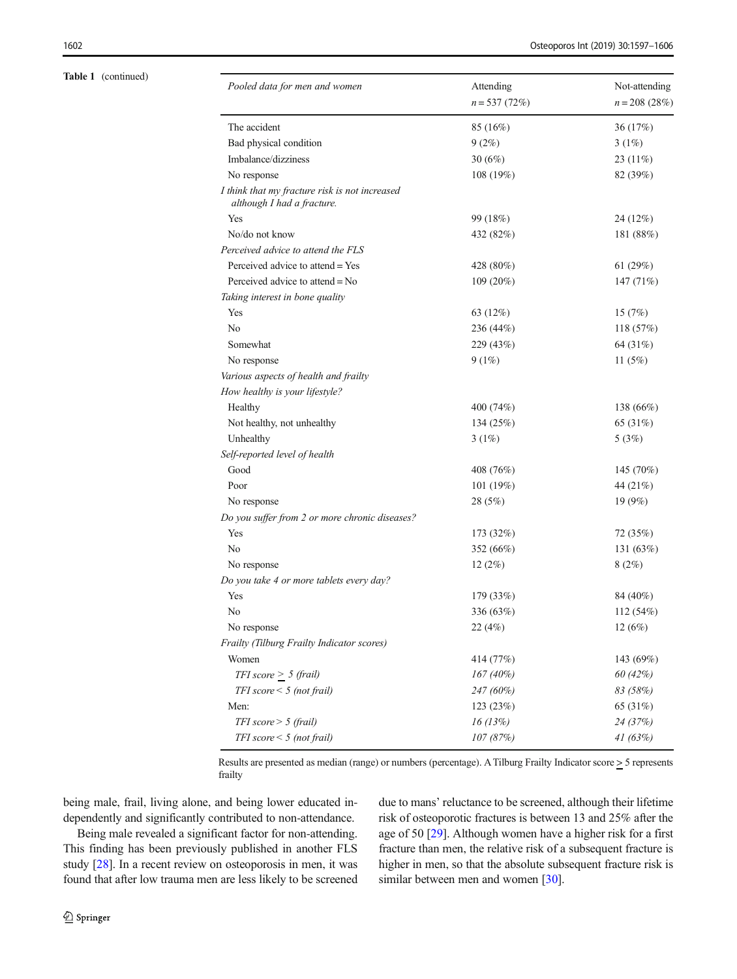#### Table 1 (continued)

| Pooled data for men and women                                                | Attending<br>$n = 537(72%)$ | Not-attending<br>$n = 208 (28%)$ |  |  |
|------------------------------------------------------------------------------|-----------------------------|----------------------------------|--|--|
| The accident                                                                 | 85 (16%)                    | 36 (17%)                         |  |  |
| Bad physical condition                                                       | 9(2%)                       | 3(1%)                            |  |  |
| Imbalance/dizziness                                                          | 30(6%)                      | 23 (11%)                         |  |  |
| No response                                                                  | 108 (19%)                   | 82 (39%)                         |  |  |
| I think that my fracture risk is not increased<br>although I had a fracture. |                             |                                  |  |  |
| Yes                                                                          | 99 (18%)                    | 24 (12%)                         |  |  |
| No/do not know                                                               | 432 (82%)                   | 181 (88%)                        |  |  |
| Perceived advice to attend the FLS                                           |                             |                                  |  |  |
| Perceived advice to attend = Yes                                             | 428 (80%)                   | 61 $(29%)$                       |  |  |
| Perceived advice to attend = No                                              | $109(20\%)$                 | 147(71%)                         |  |  |
| Taking interest in bone quality                                              |                             |                                  |  |  |
| Yes                                                                          | 63 (12%)                    | 15(7%)                           |  |  |
| No                                                                           | 236 (44%)                   | 118(57%)                         |  |  |
| Somewhat                                                                     | 229 (43%)                   | 64 (31%)                         |  |  |
| No response                                                                  | 9(1%)                       | 11 $(5%)$                        |  |  |
| Various aspects of health and frailty                                        |                             |                                  |  |  |
| How healthy is your lifestyle?                                               |                             |                                  |  |  |
| Healthy                                                                      | 400 (74%)                   | 138 (66%)                        |  |  |
| Not healthy, not unhealthy                                                   | 134 (25%)                   | 65 (31%)                         |  |  |
| Unhealthy                                                                    | 3(1%)                       | 5(3%)                            |  |  |
| Self-reported level of health                                                |                             |                                  |  |  |
| Good                                                                         | 408 (76%)                   | 145 (70%)                        |  |  |
| Poor                                                                         | 101 (19%)                   | 44 (21%)                         |  |  |
| No response                                                                  | 28 (5%)                     | 19 (9%)                          |  |  |
| Do you suffer from 2 or more chronic diseases?                               |                             |                                  |  |  |
| Yes                                                                          | 173 (32%)                   | 72 (35%)                         |  |  |
| No                                                                           | 352 (66%)                   | 131 (63%)                        |  |  |
| No response                                                                  | 12(2%)                      | 8(2%)                            |  |  |
| Do you take 4 or more tablets every day?                                     |                             |                                  |  |  |
| Yes                                                                          | 179 (33%)                   | 84 (40%)                         |  |  |
| No                                                                           | 336 (63%)                   | 112 (54%)                        |  |  |
| No response                                                                  | 22 (4%)                     | 12 (6%)                          |  |  |
| Frailty (Tilburg Frailty Indicator scores)                                   |                             |                                  |  |  |
| Women                                                                        | 414 (77%)                   | 143 (69%)                        |  |  |
| TFI score $\geq$ 5 (frail)                                                   | $167(40\%)$                 | 60 (42%)                         |  |  |
| $TFI score < 5$ (not frail)                                                  | $247(60\%)$                 | 83 (58%)                         |  |  |
| Men:                                                                         | 123 (23%)                   | 65 (31%)                         |  |  |
| TFI score $> 5$ (frail)                                                      | 16(13%)                     | 24 (37%)                         |  |  |
| $TFI score < 5$ (not frail)                                                  | 107 (87%)                   | 41(63%)                          |  |  |

Results are presented as median (range) or numbers (percentage). A Tilburg Frailty Indicator score > 5 represents frailty

being male, frail, living alone, and being lower educated independently and significantly contributed to non-attendance.

Being male revealed a significant factor for non-attending. This finding has been previously published in another FLS study [\[28\]](#page-9-0). In a recent review on osteoporosis in men, it was found that after low trauma men are less likely to be screened due to mans' reluctance to be screened, although their lifetime risk of osteoporotic fractures is between 13 and 25% after the age of 50 [\[29\]](#page-10-0). Although women have a higher risk for a first fracture than men, the relative risk of a subsequent fracture is higher in men, so that the absolute subsequent fracture risk is similar between men and women [\[30\]](#page-10-0).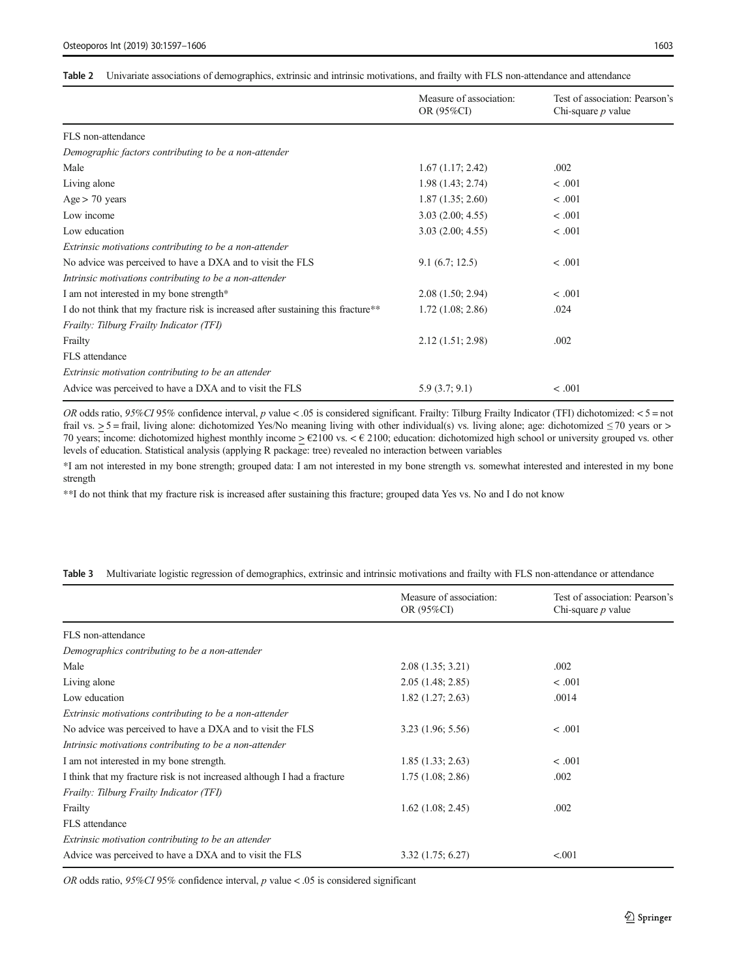#### <span id="page-7-0"></span>Table 2 Univariate associations of demographics, extrinsic and intrinsic motivations, and frailty with FLS non-attendance and attendance

|                                                                                    | Measure of association: | Test of association: Pearson's |  |
|------------------------------------------------------------------------------------|-------------------------|--------------------------------|--|
|                                                                                    | OR (95%CI)              | Chi-square $p$ value           |  |
| FLS non-attendance                                                                 |                         |                                |  |
| Demographic factors contributing to be a non-attender                              |                         |                                |  |
| Male                                                                               | 1.67(1.17; 2.42)        | .002                           |  |
| Living alone                                                                       | 1.98(1.43; 2.74)        | < .001                         |  |
| Age > 70 years                                                                     | 1.87(1.35; 2.60)        | < .001                         |  |
| Low income                                                                         | 3.03(2.00; 4.55)        | < .001                         |  |
| Low education                                                                      | 3.03(2.00; 4.55)        | < .001                         |  |
| Extrinsic motivations contributing to be a non-attender                            |                         |                                |  |
| No advice was perceived to have a DXA and to visit the FLS                         | 9.1(6.7; 12.5)          | < .001                         |  |
| Intrinsic motivations contributing to be a non-attender                            |                         |                                |  |
| I am not interested in my bone strength*                                           | 2.08(1.50; 2.94)        | < .001                         |  |
| I do not think that my fracture risk is increased after sustaining this fracture** | 1.72(1.08; 2.86)        | .024                           |  |
| Frailty: Tilburg Frailty Indicator (TFI)                                           |                         |                                |  |
| Frailty                                                                            | 2.12(1.51; 2.98)        | .002                           |  |
| FLS attendance                                                                     |                         |                                |  |
| Extrinsic motivation contributing to be an attender                                |                         |                                |  |
| Advice was perceived to have a DXA and to visit the FLS                            | 5.9(3.7; 9.1)           | < .001                         |  |

OR odds ratio, 95%CI 95% confidence interval, p value < .05 is considered significant. Frailty: Tilburg Frailty Indicator (TFI) dichotomized: < 5 = not frail vs.  $>$  5 = frail, living alone: dichotomized Yes/No meaning living with other individual(s) vs. living alone; age: dichotomized  $\leq$  70 years or  $>$ 70 years; income: dichotomized highest monthly income  $\geq \text{\textsterling}2100$  vs.  $\lt \text{\textsterling}2100$ ; education: dichotomized high school or university grouped vs. other levels of education. Statistical analysis (applying R package: tree) revealed no interaction between variables

\*I am not interested in my bone strength; grouped data: I am not interested in my bone strength vs. somewhat interested and interested in my bone strength

\*\*I do not think that my fracture risk is increased after sustaining this fracture; grouped data Yes vs. No and I do not know

|  |  |  |  |  | Table 3 Multivariate logistic regression of demographics, extrinsic and intrinsic motivations and frailty with FLS non-attendance or attendance |  |
|--|--|--|--|--|-------------------------------------------------------------------------------------------------------------------------------------------------|--|
|  |  |  |  |  |                                                                                                                                                 |  |

|                                                                          | Measure of association: | Test of association: Pearson's |  |  |
|--------------------------------------------------------------------------|-------------------------|--------------------------------|--|--|
|                                                                          | OR (95%CI)              | Chi-square $p$ value           |  |  |
| FLS non-attendance                                                       |                         |                                |  |  |
| Demographics contributing to be a non-attender                           |                         |                                |  |  |
| Male                                                                     | 2.08(1.35; 3.21)        | .002                           |  |  |
| Living alone                                                             | 2.05(1.48; 2.85)        | < .001                         |  |  |
| Low education                                                            | 1.82(1.27; 2.63)        | .0014                          |  |  |
| Extrinsic motivations contributing to be a non-attender                  |                         |                                |  |  |
| No advice was perceived to have a DXA and to visit the FLS               | 3.23(1.96; 5.56)        | < .001                         |  |  |
| Intrinsic motivations contributing to be a non-attender                  |                         |                                |  |  |
| I am not interested in my bone strength.                                 | 1.85(1.33; 2.63)        | < .001                         |  |  |
| I think that my fracture risk is not increased although I had a fracture | 1.75(1.08; 2.86)        | .002                           |  |  |
| Frailty: Tilburg Frailty Indicator (TFI)                                 |                         |                                |  |  |
| Frailty                                                                  | $1.62$ $(1.08; 2.45)$   | .002                           |  |  |
| FLS attendance                                                           |                         |                                |  |  |
| Extrinsic motivation contributing to be an attender                      |                         |                                |  |  |
| Advice was perceived to have a DXA and to visit the FLS                  | 3.32(1.75; 6.27)        | < 0.001                        |  |  |

OR odds ratio, 95%CI 95% confidence interval, p value < .05 is considered significant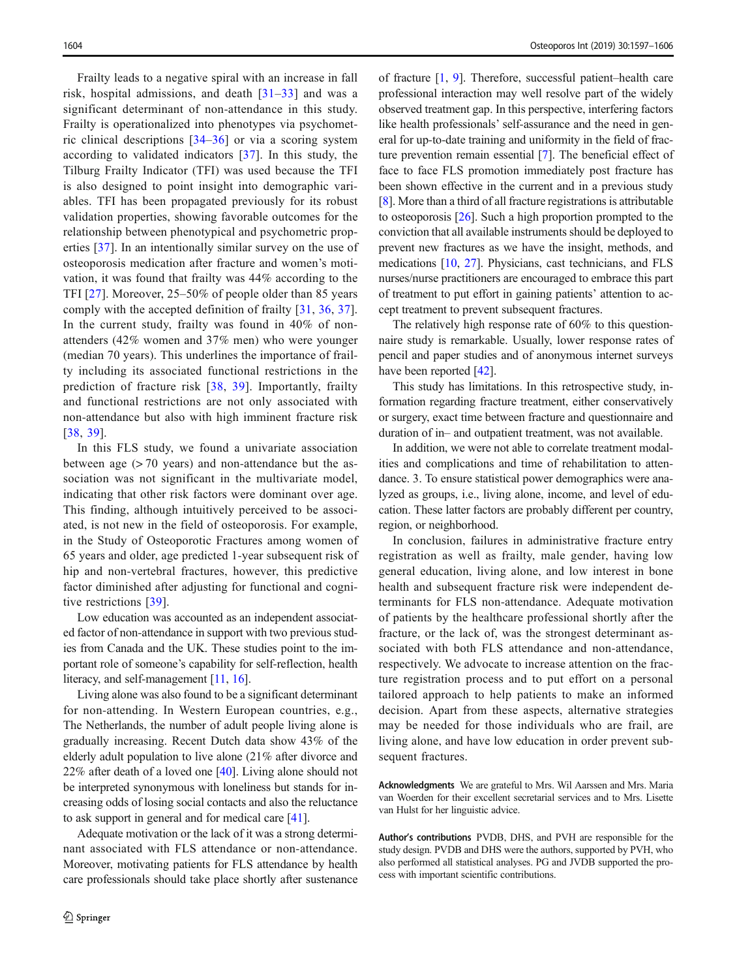Frailty leads to a negative spiral with an increase in fall risk, hospital admissions, and death  $\left[31-33\right]$  $\left[31-33\right]$  $\left[31-33\right]$  and was a significant determinant of non-attendance in this study. Frailty is operationalized into phenotypes via psychometric clinical descriptions [\[34](#page-10-0)–[36\]](#page-10-0) or via a scoring system according to validated indicators [\[37\]](#page-10-0). In this study, the Tilburg Frailty Indicator (TFI) was used because the TFI is also designed to point insight into demographic variables. TFI has been propagated previously for its robust validation properties, showing favorable outcomes for the relationship between phenotypical and psychometric properties [[37](#page-10-0)]. In an intentionally similar survey on the use of osteoporosis medication after fracture and women's motivation, it was found that frailty was 44% according to the TFI [[27](#page-9-0)]. Moreover, 25–50% of people older than 85 years comply with the accepted definition of frailty [[31](#page-10-0), [36,](#page-10-0) [37](#page-10-0)]. In the current study, frailty was found in 40% of nonattenders (42% women and 37% men) who were younger (median 70 years). This underlines the importance of frailty including its associated functional restrictions in the prediction of fracture risk [\[38,](#page-10-0) [39](#page-10-0)]. Importantly, frailty and functional restrictions are not only associated with non-attendance but also with high imminent fracture risk [\[38,](#page-10-0) [39\]](#page-10-0).

In this FLS study, we found a univariate association between age  $(> 70$  years) and non-attendance but the association was not significant in the multivariate model, indicating that other risk factors were dominant over age. This finding, although intuitively perceived to be associated, is not new in the field of osteoporosis. For example, in the Study of Osteoporotic Fractures among women of 65 years and older, age predicted 1-year subsequent risk of hip and non-vertebral fractures, however, this predictive factor diminished after adjusting for functional and cognitive restrictions [[39](#page-10-0)].

Low education was accounted as an independent associated factor of non-attendance in support with two previous studies from Canada and the UK. These studies point to the important role of someone's capability for self-reflection, health literacy, and self-management [\[11,](#page-9-0) [16](#page-9-0)].

Living alone was also found to be a significant determinant for non-attending. In Western European countries, e.g., The Netherlands, the number of adult people living alone is gradually increasing. Recent Dutch data show 43% of the elderly adult population to live alone (21% after divorce and 22% after death of a loved one [[40](#page-10-0)]. Living alone should not be interpreted synonymous with loneliness but stands for increasing odds of losing social contacts and also the reluctance to ask support in general and for medical care [\[41](#page-10-0)].

Adequate motivation or the lack of it was a strong determinant associated with FLS attendance or non-attendance. Moreover, motivating patients for FLS attendance by health care professionals should take place shortly after sustenance of fracture [\[1,](#page-9-0) [9](#page-9-0)]. Therefore, successful patient–health care professional interaction may well resolve part of the widely observed treatment gap. In this perspective, interfering factors like health professionals' self-assurance and the need in general for up-to-date training and uniformity in the field of fracture prevention remain essential [\[7](#page-9-0)]. The beneficial effect of face to face FLS promotion immediately post fracture has been shown effective in the current and in a previous study [\[8](#page-9-0)]. More than a third of all fracture registrations is attributable to osteoporosis [[26\]](#page-9-0). Such a high proportion prompted to the conviction that all available instruments should be deployed to prevent new fractures as we have the insight, methods, and medications [[10](#page-9-0), [27](#page-9-0)]. Physicians, cast technicians, and FLS nurses/nurse practitioners are encouraged to embrace this part of treatment to put effort in gaining patients' attention to accept treatment to prevent subsequent fractures.

The relatively high response rate of 60% to this questionnaire study is remarkable. Usually, lower response rates of pencil and paper studies and of anonymous internet surveys have been reported [\[42\]](#page-10-0).

This study has limitations. In this retrospective study, information regarding fracture treatment, either conservatively or surgery, exact time between fracture and questionnaire and duration of in– and outpatient treatment, was not available.

In addition, we were not able to correlate treatment modalities and complications and time of rehabilitation to attendance. 3. To ensure statistical power demographics were analyzed as groups, i.e., living alone, income, and level of education. These latter factors are probably different per country, region, or neighborhood.

In conclusion, failures in administrative fracture entry registration as well as frailty, male gender, having low general education, living alone, and low interest in bone health and subsequent fracture risk were independent determinants for FLS non-attendance. Adequate motivation of patients by the healthcare professional shortly after the fracture, or the lack of, was the strongest determinant associated with both FLS attendance and non-attendance, respectively. We advocate to increase attention on the fracture registration process and to put effort on a personal tailored approach to help patients to make an informed decision. Apart from these aspects, alternative strategies may be needed for those individuals who are frail, are living alone, and have low education in order prevent subsequent fractures.

Acknowledgments We are grateful to Mrs. Wil Aarssen and Mrs. Maria van Woerden for their excellent secretarial services and to Mrs. Lisette van Hulst for her linguistic advice.

Author's contributions PVDB, DHS, and PVH are responsible for the study design. PVDB and DHS were the authors, supported by PVH, who also performed all statistical analyses. PG and JVDB supported the process with important scientific contributions.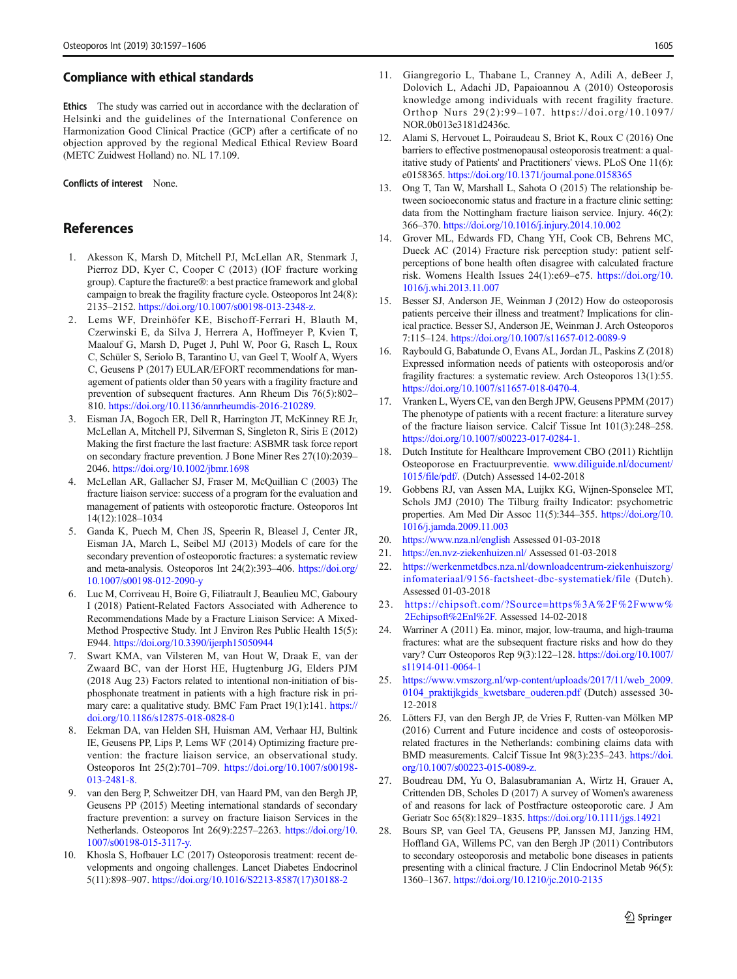#### <span id="page-9-0"></span>Compliance with ethical standards

Ethics The study was carried out in accordance with the declaration of Helsinki and the guidelines of the International Conference on Harmonization Good Clinical Practice (GCP) after a certificate of no objection approved by the regional Medical Ethical Review Board (METC Zuidwest Holland) no. NL 17.109.

#### Conflicts of interest None.

## References

- 1. Akesson K, Marsh D, Mitchell PJ, McLellan AR, Stenmark J, Pierroz DD, Kyer C, Cooper C (2013) (IOF fracture working group). Capture the fracture®: a best practice framework and global campaign to break the fragility fracture cycle. Osteoporos Int 24(8): 2135–2152. <https://doi.org/10.1007/s00198-013-2348-z.>
- 2. Lems WF, Dreinhöfer KE, Bischoff-Ferrari H, Blauth M, Czerwinski E, da Silva J, Herrera A, Hoffmeyer P, Kvien T, Maalouf G, Marsh D, Puget J, Puhl W, Poor G, Rasch L, Roux C, Schüler S, Seriolo B, Tarantino U, van Geel T, Woolf A, Wyers C, Geusens P (2017) EULAR/EFORT recommendations for management of patients older than 50 years with a fragility fracture and prevention of subsequent fractures. Ann Rheum Dis 76(5):802– 810. <https://doi.org/10.1136/annrheumdis-2016-210289.>
- 3. Eisman JA, Bogoch ER, Dell R, Harrington JT, McKinney RE Jr, McLellan A, Mitchell PJ, Silverman S, Singleton R, Siris E (2012) Making the first fracture the last fracture: ASBMR task force report on secondary fracture prevention. J Bone Miner Res 27(10):2039– 2046. <https://doi.org/10.1002/jbmr.1698>
- 4. McLellan AR, Gallacher SJ, Fraser M, McQuillian C (2003) The fracture liaison service: success of a program for the evaluation and management of patients with osteoporotic fracture. Osteoporos Int 14(12):1028–1034
- 5. Ganda K, Puech M, Chen JS, Speerin R, Bleasel J, Center JR, Eisman JA, March L, Seibel MJ (2013) Models of care for the secondary prevention of osteoporotic fractures: a systematic review and meta-analysis. Osteoporos Int 24(2):393–406. [https://doi.org/](https://doi.org/10.1007/s00198-012-2090-y) [10.1007/s00198-012-2090-y](https://doi.org/10.1007/s00198-012-2090-y)
- 6. Luc M, Corriveau H, Boire G, Filiatrault J, Beaulieu MC, Gaboury I (2018) Patient-Related Factors Associated with Adherence to Recommendations Made by a Fracture Liaison Service: A Mixed-Method Prospective Study. Int J Environ Res Public Health 15(5): E944. <https://doi.org/10.3390/ijerph15050944>
- 7. Swart KMA, van Vilsteren M, van Hout W, Draak E, van der Zwaard BC, van der Horst HE, Hugtenburg JG, Elders PJM (2018 Aug 23) Factors related to intentional non-initiation of bisphosphonate treatment in patients with a high fracture risk in primary care: a qualitative study. BMC Fam Pract 19(1):141. [https://](https://doi.org/10.1186/s12875-018-0828-0) [doi.org/10.1186/s12875-018-0828-0](https://doi.org/10.1186/s12875-018-0828-0)
- 8. Eekman DA, van Helden SH, Huisman AM, Verhaar HJ, Bultink IE, Geusens PP, Lips P, Lems WF (2014) Optimizing fracture prevention: the fracture liaison service, an observational study. Osteoporos Int 25(2):701–709. [https://doi.org/10.1007/s00198-](https://doi.org/10.1007/s00198-013-2481-8.) [013-2481-8.](https://doi.org/10.1007/s00198-013-2481-8.)
- 9. van den Berg P, Schweitzer DH, van Haard PM, van den Bergh JP, Geusens PP (2015) Meeting international standards of secondary fracture prevention: a survey on fracture liaison Services in the Netherlands. Osteoporos Int 26(9):2257–2263. [https://doi.org/10.](https://doi.org/10.1007/s00198-015-3117-y.) [1007/s00198-015-3117-y.](https://doi.org/10.1007/s00198-015-3117-y.)
- 10. Khosla S, Hofbauer LC (2017) Osteoporosis treatment: recent developments and ongoing challenges. Lancet Diabetes Endocrinol 5(11):898–907. [https://doi.org/10.1016/S2213-8587\(17\)30188-2](https://doi.org/10.1016/S2213-8587(17)30188-2)
- 11. Giangregorio L, Thabane L, Cranney A, Adili A, deBeer J, Dolovich L, Adachi JD, Papaioannou A (2010) Osteoporosis knowledge among individuals with recent fragility fracture. Orthop Nurs 29(2):99–107. https://doi.org/10.1097/ NOR.0b013e3181d2436c.
- 12. Alami S, Hervouet L, Poiraudeau S, Briot K, Roux C (2016) One barriers to effective postmenopausal osteoporosis treatment: a qualitative study of Patients' and Practitioners' views. PLoS One 11(6): e0158365. <https://doi.org/10.1371/journal.pone.0158365>
- 13. Ong T, Tan W, Marshall L, Sahota O (2015) The relationship between socioeconomic status and fracture in a fracture clinic setting: data from the Nottingham fracture liaison service. Injury. 46(2): 366–370. <https://doi.org/10.1016/j.injury.2014.10.002>
- 14. Grover ML, Edwards FD, Chang YH, Cook CB, Behrens MC, Dueck AC (2014) Fracture risk perception study: patient selfperceptions of bone health often disagree with calculated fracture risk. Womens Health Issues 24(1):e69–e75. [https://doi.org/10.](https://doi.org/10.1016/j.whi.2013.11.007) [1016/j.whi.2013.11.007](https://doi.org/10.1016/j.whi.2013.11.007)
- 15. Besser SJ, Anderson JE, Weinman J (2012) How do osteoporosis patients perceive their illness and treatment? Implications for clinical practice. Besser SJ, Anderson JE, Weinman J. Arch Osteoporos 7:115–124. <https://doi.org/10.1007/s11657-012-0089-9>
- 16. Raybould G, Babatunde O, Evans AL, Jordan JL, Paskins Z (2018) Expressed information needs of patients with osteoporosis and/or fragility fractures: a systematic review. Arch Osteoporos 13(1):55. <https://doi.org/10.1007/s11657-018-0470-4.>
- 17. Vranken L, Wyers CE, van den Bergh JPW, Geusens PPMM (2017) The phenotype of patients with a recent fracture: a literature survey of the fracture liaison service. Calcif Tissue Int 101(3):248–258. <https://doi.org/10.1007/s00223-017-0284-1.>
- 18. Dutch Institute for Healthcare Improvement CBO (2011) Richtlijn Osteoporose en Fractuurpreventie. [www.diliguide.nl/document/](http://www.diliguide.nl/document/1015/file/pdf/) [1015/file/pdf/.](http://www.diliguide.nl/document/1015/file/pdf/) (Dutch) Assessed 14-02-2018
- 19. Gobbens RJ, van Assen MA, Luijkx KG, Wijnen-Sponselee MT, Schols JMJ (2010) The Tilburg frailty Indicator: psychometric properties. Am Med Dir Assoc 11(5):344–355. [https://doi.org/10.](https://doi.org/10.1016/j.jamda.2009.11.003) [1016/j.jamda.2009.11.003](https://doi.org/10.1016/j.jamda.2009.11.003)
- 20. <https://www.nza.nl/english> Assessed 01-03-2018
- 21. <https://en.nvz-ziekenhuizen.nl/> Assessed 01-03-2018
- 22. [https://werkenmetdbcs.nza.nl/downloadcentrum-ziekenhuiszorg/](https://werkenmetdbcs.nza.nl/downloadcentrum-ziekenhuiszorg/infomateriaal/9156-factsheet-dbc-systematiek/file) [infomateriaal/9156-factsheet-dbc-systematiek/file](https://werkenmetdbcs.nza.nl/downloadcentrum-ziekenhuiszorg/infomateriaal/9156-factsheet-dbc-systematiek/file) (Dutch). Assessed 01-03-2018
- 23. [https://chipsoft.com/?Source=https%3A%2F%2Fwww%](https://chipsoft.com/?Source=https%3A%2F%2Fwww%2Echipsoft%2Enl%2F) [2Echipsoft%2Enl%2F.](https://chipsoft.com/?Source=https%3A%2F%2Fwww%2Echipsoft%2Enl%2F) Assessed 14-02-2018
- 24. Warriner A (2011) Ea. minor, major, low-trauma, and high-trauma fractures: what are the subsequent fracture risks and how do they vary? Curr Osteoporos Rep 9(3):122–128. [https://doi.org/10.1007/](https://doi.org/10.1007/s11914-011-0064-1) [s11914-011-0064-1](https://doi.org/10.1007/s11914-011-0064-1)
- 25. [https://www.vmszorg.nl/wp-content/uploads/2017/11/web\\_2009.](https://www.vmszorg.nl/wp-content/uploads/2017/11/web_2009.0104_praktijkgids_kwetsbare_ouderen.pdf) [0104\\_praktijkgids\\_kwetsbare\\_ouderen.pdf](https://www.vmszorg.nl/wp-content/uploads/2017/11/web_2009.0104_praktijkgids_kwetsbare_ouderen.pdf) (Dutch) assessed 30- 12-2018
- 26. Lötters FJ, van den Bergh JP, de Vries F, Rutten-van Mölken MP (2016) Current and Future incidence and costs of osteoporosisrelated fractures in the Netherlands: combining claims data with BMD measurements. Calcif Tissue Int 98(3):235–243. [https://doi.](https://doi.org/10.1007/s00223-015-0089-z.) [org/10.1007/s00223-015-0089-z.](https://doi.org/10.1007/s00223-015-0089-z.)
- 27. Boudreau DM, Yu O, Balasubramanian A, Wirtz H, Grauer A, Crittenden DB, Scholes D (2017) A survey of Women's awareness of and reasons for lack of Postfracture osteoporotic care. J Am Geriatr Soc 65(8):1829–1835. <https://doi.org/10.1111/jgs.14921>
- 28. Bours SP, van Geel TA, Geusens PP, Janssen MJ, Janzing HM, Hoffland GA, Willems PC, van den Bergh JP (2011) Contributors to secondary osteoporosis and metabolic bone diseases in patients presenting with a clinical fracture. J Clin Endocrinol Metab 96(5): 1360–1367. <https://doi.org/10.1210/jc.2010-2135>